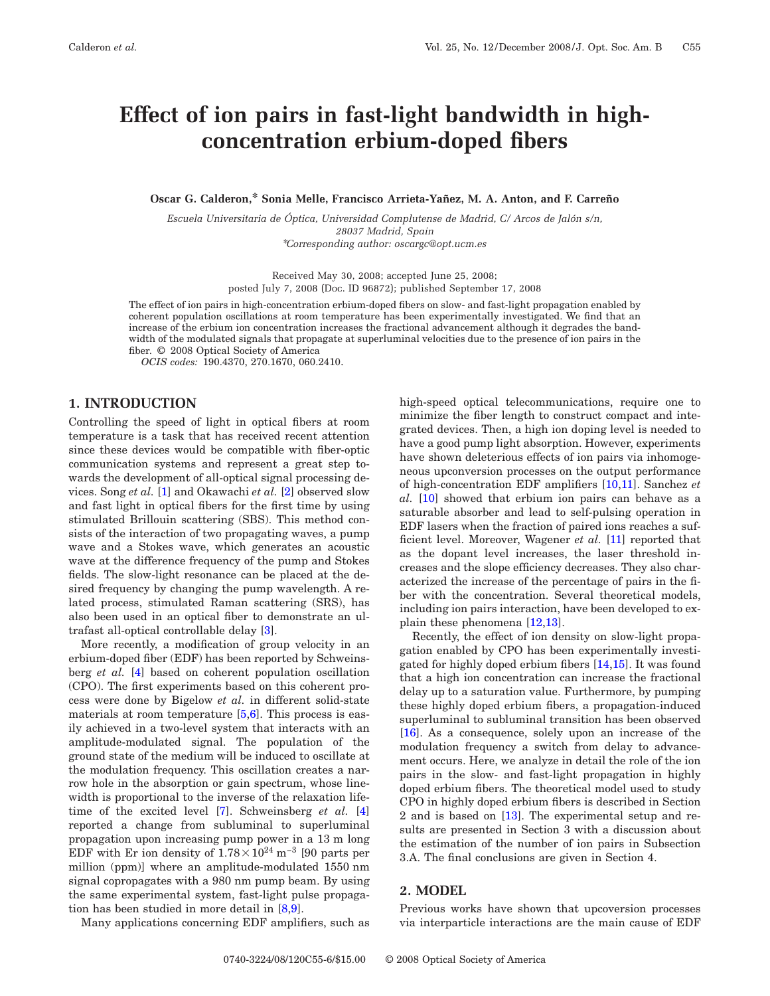# **Effect of ion pairs in fast-light bandwidth in highconcentration erbium-doped fibers**

**Oscar G. Calderon,\* Sonia Melle, Francisco Arrieta-Yañez, M. A. Anton, and F. Carreño**

*Escuela Universitaria de Óptica, Universidad Complutense de Madrid, C/ Arcos de Jalón s/n, 28037 Madrid, Spain* \**Corresponding author: oscargc@opt.ucm.es*

> Received May 30, 2008; accepted June 25, 2008; posted July 7, 2008 (Doc. ID 96872); published September 17, 2008

The effect of ion pairs in high-concentration erbium-doped fibers on slow- and fast-light propagation enabled by coherent population oscillations at room temperature has been experimentally investigated. We find that an increase of the erbium ion concentration increases the fractional advancement although it degrades the bandwidth of the modulated signals that propagate at superluminal velocities due to the presence of ion pairs in the fiber. © 2008 Optical Society of America

*OCIS codes:* 190.4370, 270.1670, 060.2410.

## **1. INTRODUCTION**

Controlling the speed of light in optical fibers at room temperature is a task that has received recent attention since these devices would be compatible with fiber-optic communication systems and represent a great step towards the development of all-optical signal processing devices. Song *et al.* [\[1\]](#page-5-0) and Okawachi *et al.* [\[2\]](#page-5-1) observed slow and fast light in optical fibers for the first time by using stimulated Brillouin scattering (SBS). This method consists of the interaction of two propagating waves, a pump wave and a Stokes wave, which generates an acoustic wave at the difference frequency of the pump and Stokes fields. The slow-light resonance can be placed at the desired frequency by changing the pump wavelength. A related process, stimulated Raman scattering (SRS), has also been used in an optical fiber to demonstrate an ultrafast all-optical controllable delay [\[3\]](#page-5-2).

More recently, a modification of group velocity in an erbium-doped fiber (EDF) has been reported by Schweinsberg *et al.* [\[4\]](#page-5-3) based on coherent population oscillation (CPO). The first experiments based on this coherent process were done by Bigelow *et al.* in different solid-state materials at room temperature  $[5,6]$  $[5,6]$ . This process is easily achieved in a two-level system that interacts with an amplitude-modulated signal. The population of the ground state of the medium will be induced to oscillate at the modulation frequency. This oscillation creates a narrow hole in the absorption or gain spectrum, whose linewidth is proportional to the inverse of the relaxation lifetime of the excited level [\[7\]](#page-5-6). Schweinsberg *et al.* [\[4\]](#page-5-3) reported a change from subluminal to superluminal propagation upon increasing pump power in a 13 m long EDF with Er ion density of  $1.78\times10^{24}$  m<sup>-3</sup> [90 parts per million (ppm)] where an amplitude-modulated 1550 nm signal copropagates with a 980 nm pump beam. By using the same experimental system, fast-light pulse propagation has been studied in more detail in [\[8](#page-5-7)[,9\]](#page-5-8).

Many applications concerning EDF amplifiers, such as

high-speed optical telecommunications, require one to minimize the fiber length to construct compact and integrated devices. Then, a high ion doping level is needed to have a good pump light absorption. However, experiments have shown deleterious effects of ion pairs via inhomogeneous upconversion processes on the output performance of high-concentration EDF amplifiers [\[10,](#page-5-9)[11\]](#page-5-10). Sanchez *et al.* [\[10\]](#page-5-9) showed that erbium ion pairs can behave as a saturable absorber and lead to self-pulsing operation in EDF lasers when the fraction of paired ions reaches a sufficient level. Moreover, Wagener *et al.* [\[11\]](#page-5-10) reported that as the dopant level increases, the laser threshold increases and the slope efficiency decreases. They also characterized the increase of the percentage of pairs in the fiber with the concentration. Several theoretical models, including ion pairs interaction, have been developed to explain these phenomena [\[12](#page-5-11)[,13\]](#page-5-12).

Recently, the effect of ion density on slow-light propagation enabled by CPO has been experimentally investigated for highly doped erbium fibers [\[14,](#page-5-13)[15\]](#page-5-14). It was found that a high ion concentration can increase the fractional delay up to a saturation value. Furthermore, by pumping these highly doped erbium fibers, a propagation-induced superluminal to subluminal transition has been observed [\[16\]](#page-5-15). As a consequence, solely upon an increase of the modulation frequency a switch from delay to advancement occurs. Here, we analyze in detail the role of the ion pairs in the slow- and fast-light propagation in highly doped erbium fibers. The theoretical model used to study CPO in highly doped erbium fibers is described in Section 2 and is based on [\[13\]](#page-5-12). The experimental setup and results are presented in Section 3 with a discussion about the estimation of the number of ion pairs in Subsection 3.A. The final conclusions are given in Section 4.

# **2. MODEL**

Previous works have shown that upcoversion processes via interparticle interactions are the main cause of EDF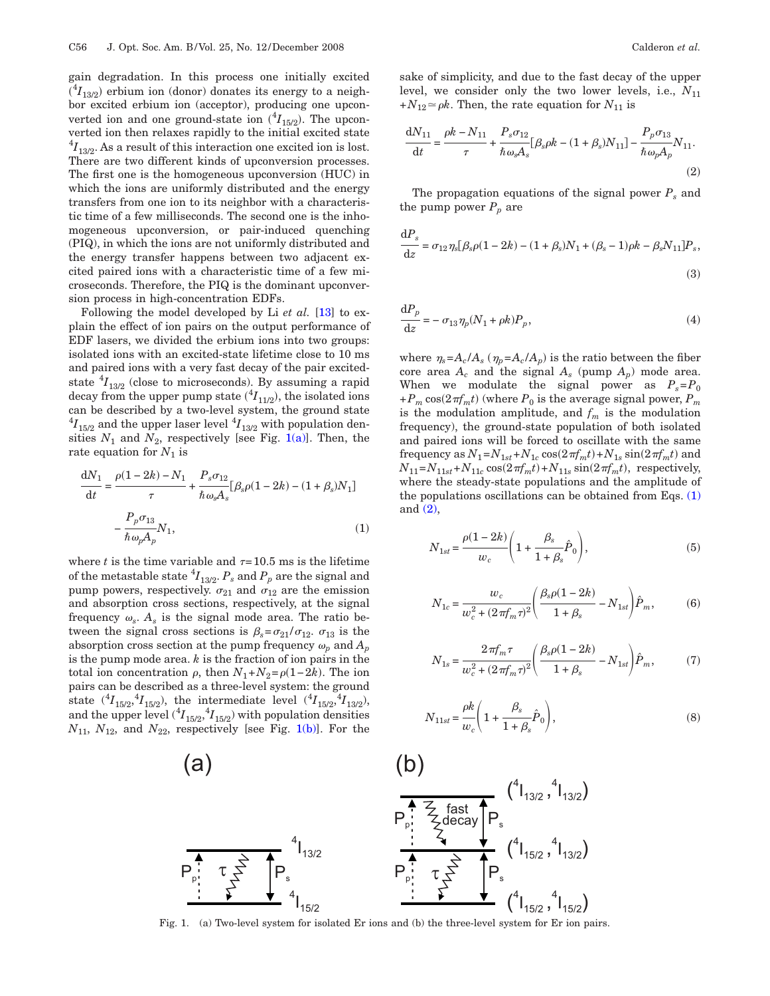gain degradation. In this process one initially excited  $({}^{4}I_{13/2})$  erbium ion (donor) donates its energy to a neighbor excited erbium ion (acceptor), producing one upconverted ion and one ground-state ion  $({}^{4}I_{15/2})$ . The upconverted ion then relaxes rapidly to the initial excited state  $^{4}I_{13/2}$ . As a result of this interaction one excited ion is lost. There are two different kinds of upconversion processes. The first one is the homogeneous upconversion (HUC) in which the ions are uniformly distributed and the energy transfers from one ion to its neighbor with a characteristic time of a few milliseconds. The second one is the inhomogeneous upconversion, or pair-induced quenching (PIQ), in which the ions are not uniformly distributed and the energy transfer happens between two adjacent excited paired ions with a characteristic time of a few microseconds. Therefore, the PIQ is the dominant upconversion process in high-concentration EDFs.

Following the model developed by Li *et al.* [\[13\]](#page-5-12) to explain the effect of ion pairs on the output performance of EDF lasers, we divided the erbium ions into two groups: isolated ions with an excited-state lifetime close to 10 ms and paired ions with a very fast decay of the pair excitedstate  ${}^{4}I_{13/2}$  (close to microseconds). By assuming a rapid decay from the upper pump state  $(^{4}I_{11/2})$ , the isolated ions can be described by a two-level system, the ground state  $^{4}I_{15/2}$  and the upper laser level  $^{4}I_{13/2}$  with population densities  $N_1$  and  $N_2$ , respectively [see Fig. [1\(a\)\]](#page-1-0). Then, the rate equation for  $N_1$  is

<span id="page-1-1"></span>
$$
\frac{dN_1}{dt} = \frac{\rho(1 - 2k) - N_1}{\tau} + \frac{P_s \sigma_{12}}{\hbar \omega_s A_s} [\beta_s \rho (1 - 2k) - (1 + \beta_s) N_1] - \frac{P_p \sigma_{13}}{\hbar \omega_p A_p} N_1,
$$
\n(1)

where *t* is the time variable and  $\tau = 10.5$  ms is the lifetime of the metastable state  ${}^4I_{13/2}$ .  $P_s$  and  $P_p$  are the signal and pump powers, respectively.  $\sigma_{21}$  and  $\sigma_{12}$  are the emission and absorption cross sections, respectively, at the signal frequency  $\omega_s$ .  $A_s$  is the signal mode area. The ratio between the signal cross sections is  $\beta_s = \sigma_{21}/\sigma_{12}$ .  $\sigma_{13}$  is the absorption cross section at the pump frequency  $\omega_p$  and  $A_p$ is the pump mode area. *k* is the fraction of ion pairs in the total ion concentration  $\rho$ , then  $N_1 + N_2 = \rho(1 - 2k)$ . The ion pairs can be described as a three-level system: the ground state  $({}^{4}I_{15/2}, {}^{4}I_{15/2}),$  the intermediate level  $({}^{4}I_{15/2}, {}^{4}I_{13/2}),$ and the upper level  $({}^{4}I_{15/2}, {}^{4}I_{15/2})$  with population densities  $N_{11}$ ,  $N_{12}$ , and  $N_{22}$ , respectively [see Fig. [1\(b\)\]](#page-1-0). For the sake of simplicity, and due to the fast decay of the upper level, we consider only the two lower levels, i.e.,  $N_{11}$  $+N_{12} \approx \rho k$ . Then, the rate equation for  $N_{11}$  is

<span id="page-1-2"></span>
$$
\frac{dN_{11}}{dt} = \frac{\rho k - N_{11}}{\tau} + \frac{P_s \sigma_{12}}{\hbar \omega_s A_s} [\beta_s \rho k - (1 + \beta_s) N_{11}] - \frac{P_p \sigma_{13}}{\hbar \omega_p A_p} N_{11}.
$$
\n(2)

The propagation equations of the signal power  $P_s$  and the pump power  $P_p$  are

$$
\frac{\mathrm{d}P_s}{\mathrm{d}z} = \sigma_{12}\eta_s[\beta_s\rho(1-2k) - (1+\beta_s)N_1 + (\beta_s - 1)\rho k - \beta_s N_{11}]P_s, \tag{3}
$$

 $\mathrm{d} P_p$  $\frac{\partial}{\partial z} = -\sigma_{13} \eta_p (N_1 + \rho k)$  $P_p,$  (4)  $(4)$ 

where  $\eta_s = A_c / A_s$  ( $\eta_p = A_c / A_p$ ) is the ratio between the fiber core area  $A_c$  and the signal  $A_s$  (pump  $A_p$ ) mode area. When we modulate the signal power as  $P_s = P_0$  $+P_m \cos(2\pi f_m t)$  (where  $P_0$  is the average signal power,  $P_m$ is the modulation amplitude, and  $f_m$  is the modulation frequency), the ground-state population of both isolated and paired ions will be forced to oscillate with the same frequency as  $N_1 = N_{1st} + N_{1c} \cos(2\pi f_m t) + N_{1s} \sin(2\pi f_m t)$  and  $N_{11} = N_{11st} + N_{11c} \cos(2\pi f_m t) + N_{11s} \sin(2\pi f_m t)$ , respectively, where the steady-state populations and the amplitude of the populations oscillations can be obtained from Eqs. [\(1\)](#page-1-1) and [\(2\),](#page-1-2)

$$
N_{1st} = \frac{\rho(1 - 2k)}{w_c} \left( 1 + \frac{\beta_s}{1 + \beta_s} \hat{P}_0 \right),
$$
 (5)

$$
N_{1c} = \frac{w_c}{w_c^2 + (2\pi f_m \tau)^2} \left( \frac{\beta_s \rho (1 - 2k)}{1 + \beta_s} - N_{1st} \right) \hat{P}_m, \tag{6}
$$

$$
N_{1s} = \frac{2\pi f_m \tau}{w_c^2 + (2\pi f_m \tau)^2} \left(\frac{\beta_s \rho (1 - 2k)}{1 + \beta_s} - N_{1st}\right) \hat{P}_m, \tag{7}
$$

$$
N_{11st} = \frac{\rho k}{w_c} \left( 1 + \frac{\beta_s}{1 + \beta_s} \hat{P}_0 \right),\tag{8}
$$

<span id="page-1-0"></span>

Fig. 1. (a) Two-level system for isolated Er ions and (b) the three-level system for Er ion pairs.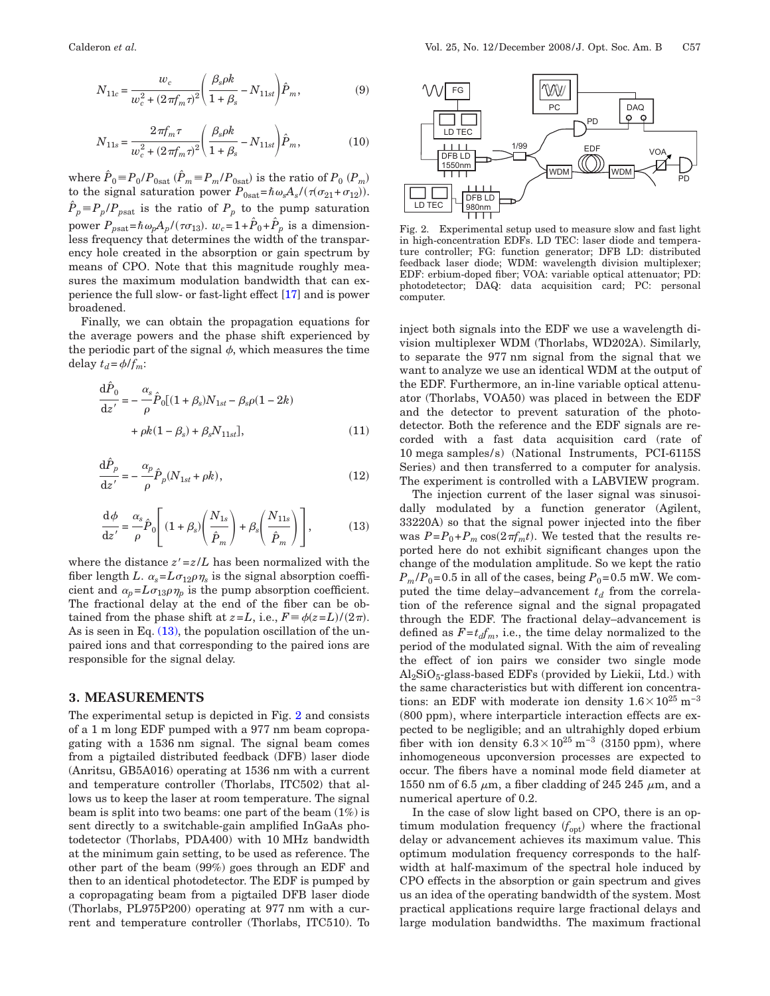$$
N_{11c} = \frac{w_c}{w_c^2 + (2\pi f_m \tau)^2} \left(\frac{\beta_s \rho k}{1 + \beta_s} - N_{11st}\right) \hat{P}_m, \tag{9}
$$

$$
N_{11s} = \frac{2\pi f_m \tau}{w_c^2 + (2\pi f_m \tau)^2} \left(\frac{\beta_s \rho k}{1 + \beta_s} - N_{11st}\right) \hat{P}_m,
$$
(10)

where  $\hat{P}_0 = P_0 / P_{0\text{sat}}$   $(\hat{P}_m = P_m / P_{0\text{sat}})$  is the ratio of  $P_0$   $(P_m)$ <br>to the signal saturation power  $P_{0\text{sat}} = \hbar \omega_s A_s / (\tau(\sigma_{21} + \sigma_{12}))$ .  $P_p \equiv P_p / P_{\text{past}}$  is the ratio of  $P_p$  to the pump saturation power  $P_{\text{psat}} = \hbar \omega_p A_p / (\tau \sigma_{13})$ .  $w_c = 1 + \hat{P}_0 + \hat{P}_p$  is a dimensionless frequency that determines the width of the transparency hole created in the absorption or gain spectrum by means of CPO. Note that this magnitude roughly measures the maximum modulation bandwidth that can experience the full slow- or fast-light effect [\[17\]](#page-5-16) and is power broadened.

Finally, we can obtain the propagation equations for the average powers and the phase shift experienced by the periodic part of the signal  $\phi$ , which measures the time delay  $t_d = \phi/f_m$ :

<span id="page-2-2"></span>
$$
\frac{d\hat{P}_0}{dz'} = -\frac{\alpha_s}{\rho} \hat{P}_0 [(1 + \beta_s) N_{1st} - \beta_s \rho (1 - 2k) + \rho k (1 - \beta_s) + \beta_s N_{11st}], \qquad (11)
$$

<span id="page-2-3"></span>
$$
\frac{\mathrm{d}\hat{P}_p}{\mathrm{d}z'} = -\frac{\alpha_p}{\rho} \hat{P}_p(N_{1st} + \rho k),\tag{12}
$$

<span id="page-2-0"></span>
$$
\frac{\mathrm{d}\phi}{\mathrm{d}z'} = \frac{\alpha_s}{\rho} \hat{P}_0 \left[ (1 + \beta_s) \left( \frac{N_{1s}}{\hat{P}_m} \right) + \beta_s \left( \frac{N_{11s}}{\hat{P}_m} \right) \right],\tag{13}
$$

where the distance  $z' = z/L$  has been normalized with the fiber length *L*.  $\alpha_s = L\sigma_{12}\rho\eta_s$  is the signal absorption coefficient and  $\alpha_p = L \sigma_{13} \rho \eta_p$  is the pump absorption coefficient. The fractional delay at the end of the fiber can be obtained from the phase shift at  $z = L$ , i.e.,  $F = \phi(z = L)/(2\pi)$ . As is seen in Eq.  $(13)$ , the population oscillation of the unpaired ions and that corresponding to the paired ions are responsible for the signal delay.

#### **3. MEASUREMENTS**

The experimental setup is depicted in Fig. [2](#page-2-1) and consists of a 1 m long EDF pumped with a 977 nm beam copropagating with a 1536 nm signal. The signal beam comes from a pigtailed distributed feedback (DFB) laser diode (Anritsu, GB5A016) operating at 1536 nm with a current and temperature controller (Thorlabs, ITC502) that allows us to keep the laser at room temperature. The signal beam is split into two beams: one part of the beam (1%) is sent directly to a switchable-gain amplified InGaAs photodetector (Thorlabs, PDA400) with 10 MHz bandwidth at the minimum gain setting, to be used as reference. The other part of the beam (99%) goes through an EDF and then to an identical photodetector. The EDF is pumped by a copropagating beam from a pigtailed DFB laser diode (Thorlabs, PL975P200) operating at 977 nm with a current and temperature controller (Thorlabs, ITC510). To

<span id="page-2-1"></span>

Fig. 2. Experimental setup used to measure slow and fast light in high-concentration EDFs. LD TEC: laser diode and temperature controller; FG: function generator; DFB LD: distributed feedback laser diode; WDM: wavelength division multiplexer; EDF: erbium-doped fiber; VOA: variable optical attenuator; PD: photodetector; DAQ: data acquisition card; PC: personal computer.

inject both signals into the EDF we use a wavelength division multiplexer WDM (Thorlabs, WD202A). Similarly, to separate the 977 nm signal from the signal that we want to analyze we use an identical WDM at the output of the EDF. Furthermore, an in-line variable optical attenuator (Thorlabs, VOA50) was placed in between the EDF and the detector to prevent saturation of the photodetector. Both the reference and the EDF signals are recorded with a fast data acquisition card (rate of 10 mega samples/s) (National Instruments, PCI-6115S Series) and then transferred to a computer for analysis. The experiment is controlled with a LABVIEW program.

The injection current of the laser signal was sinusoidally modulated by a function generator (Agilent, 33220A) so that the signal power injected into the fiber was  $P = P_0 + P_m \cos(2\pi f_m t)$ . We tested that the results reported here do not exhibit significant changes upon the change of the modulation amplitude. So we kept the ratio  $P_m/P_0$ =0.5 in all of the cases, being  $P_0$ =0.5 mW. We computed the time delay–advancement  $t_d$  from the correlation of the reference signal and the signal propagated through the EDF. The fractional delay–advancement is defined as  $F = t_d f_m$ , i.e., the time delay normalized to the period of the modulated signal. With the aim of revealing the effect of ion pairs we consider two single mode  $Al_2SiO_5$ -glass-based EDFs (provided by Liekii, Ltd.) with the same characteristics but with different ion concentrations: an EDF with moderate ion density  $1.6\times10^{25}$  m<sup>-3</sup> (800 ppm), where interparticle interaction effects are expected to be negligible; and an ultrahighly doped erbium fiber with ion density  $6.3 \times 10^{25}$  m<sup>-3</sup> (3150 ppm), where inhomogeneous upconversion processes are expected to occur. The fibers have a nominal mode field diameter at 1550 nm of 6.5  $\mu$ m, a fiber cladding of 245 245  $\mu$ m, and a numerical aperture of 0.2.

In the case of slow light based on CPO, there is an optimum modulation frequency  $(f_{opt})$  where the fractional delay or advancement achieves its maximum value. This optimum modulation frequency corresponds to the halfwidth at half-maximum of the spectral hole induced by CPO effects in the absorption or gain spectrum and gives us an idea of the operating bandwidth of the system. Most practical applications require large fractional delays and large modulation bandwidths. The maximum fractional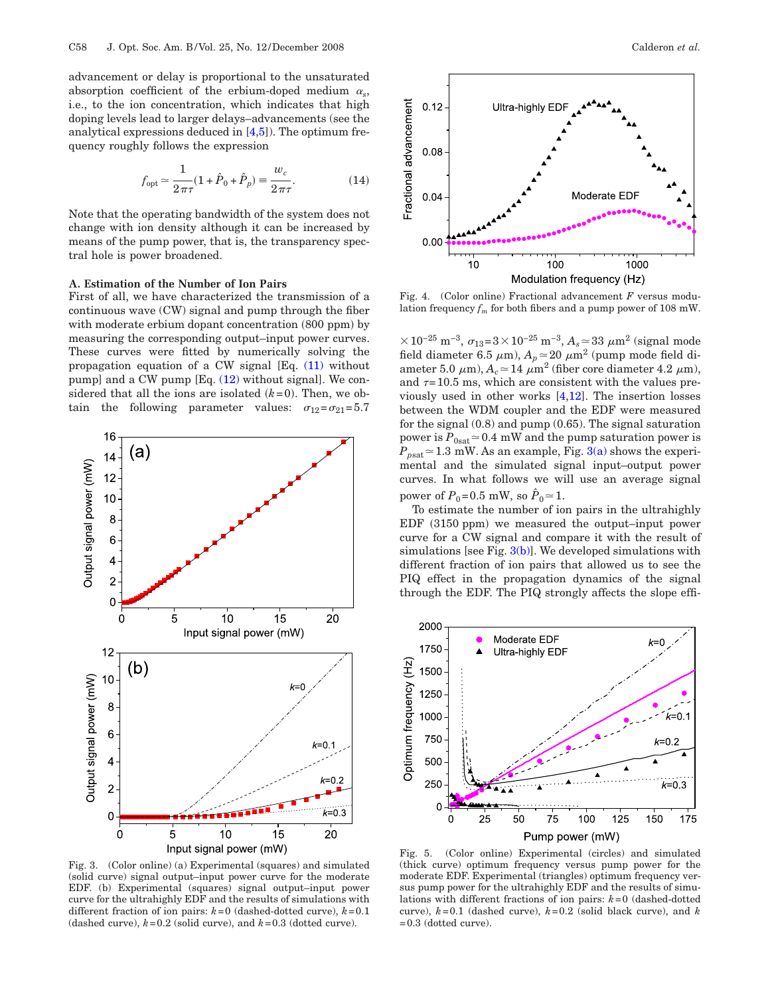advancement or delay is proportional to the unsaturated absorption coefficient of the erbium-doped medium  $\alpha_s$ , i.e., to the ion concentration, which indicates that high doping levels lead to larger delays–advancements (see the analytical expressions deduced in [\[4](#page-5-3)[,5\]](#page-5-4)). The optimum frequency roughly follows the expression

$$
f_{\rm opt} \simeq \frac{1}{2\pi\tau} (1 + \hat{P}_0 + \hat{P}_p) \equiv \frac{w_c}{2\pi\tau}.
$$
 (14)

<span id="page-3-2"></span>Note that the operating bandwidth of the system does not change with ion density although it can be increased by means of the pump power, that is, the transparency spectral hole is power broadened.

#### **A. Estimation of the Number of Ion Pairs**

First of all, we have characterized the transmission of a continuous wave (CW) signal and pump through the fiber with moderate erbium dopant concentration (800 ppm) by measuring the corresponding output–input power curves. These curves were fitted by numerically solving the propagation equation of a CW signal [Eq. [\(11\)](#page-2-2) without pump] and a CW pump [Eq. [\(12\)](#page-2-3) without signal]. We considered that all the ions are isolated  $(k=0)$ . Then, we obtain the following parameter values:  $\sigma_{12}=\sigma_{21}=5.7$ 

<span id="page-3-0"></span>

Fig. 3. (Color online) (a) Experimental (squares) and simulated (solid curve) signal output–input power curve for the moderate EDF. (b) Experimental (squares) signal output–input power curve for the ultrahighly EDF and the results of simulations with different fraction of ion pairs:  $k=0$  (dashed-dotted curve),  $k=0.1$ (dashed curve),  $k=0.2$  (solid curve), and  $k=0.3$  (dotted curve).

<span id="page-3-1"></span>

Fig. 4. (Color online) Fractional advancement *F* versus modulation frequency  $f_m$  for both fibers and a pump power of 108 mW.

 $\times$ 10<sup>-25</sup> m<sup>-3</sup>,  $\sigma_{13}$ =3×10<sup>-25</sup> m<sup>-3</sup>,  $A_s$  ≈ 33  $\mu$ m<sup>2</sup> (signal mode field diameter 6.5  $\mu$ m),  $A_p \approx 20 \mu m^2$  (pump mode field diameter 5.0  $\mu$ m),  $A_c \approx 14 \mu m^2$  (fiber core diameter 4.2  $\mu$ m), and  $\tau$ =10.5 ms, which are consistent with the values previously used in other works [\[4](#page-5-3)[,12\]](#page-5-11). The insertion losses between the WDM coupler and the EDF were measured for the signal (0.8) and pump (0.65). The signal saturation power is  $P_{0\text{sat}} \approx 0.4 \text{ mW}$  and the pump saturation power is  $P_{psat} \approx 1.3$  mW. As an example, Fig. [3\(a\)](#page-3-0) shows the experimental and the simulated signal input–output power curves. In what follows we will use an average signal power of  $P_0 = 0.5$  mW, so  $\hat{P}_0 \approx 1$ .

To estimate the number of ion pairs in the ultrahighly  $EDF$  (3150 ppm) we measured the output–input power curve for a CW signal and compare it with the result of simulations [see Fig.  $3(b)$ ]. We developed simulations with different fraction of ion pairs that allowed us to see the PIQ effect in the propagation dynamics of the signal through the EDF. The PIQ strongly affects the slope effi-

<span id="page-3-3"></span>

Fig. 5. (Color online) Experimental (circles) and simulated (thick curve) optimum frequency versus pump power for the moderate EDF. Experimental (triangles) optimum frequency versus pump power for the ultrahighly EDF and the results of simulations with different fractions of ion pairs: *k*=0 (dashed-dotted curve), *k*=0.1 (dashed curve), *k*=0.2 (solid black curve), and *k* =0.3 (dotted curve).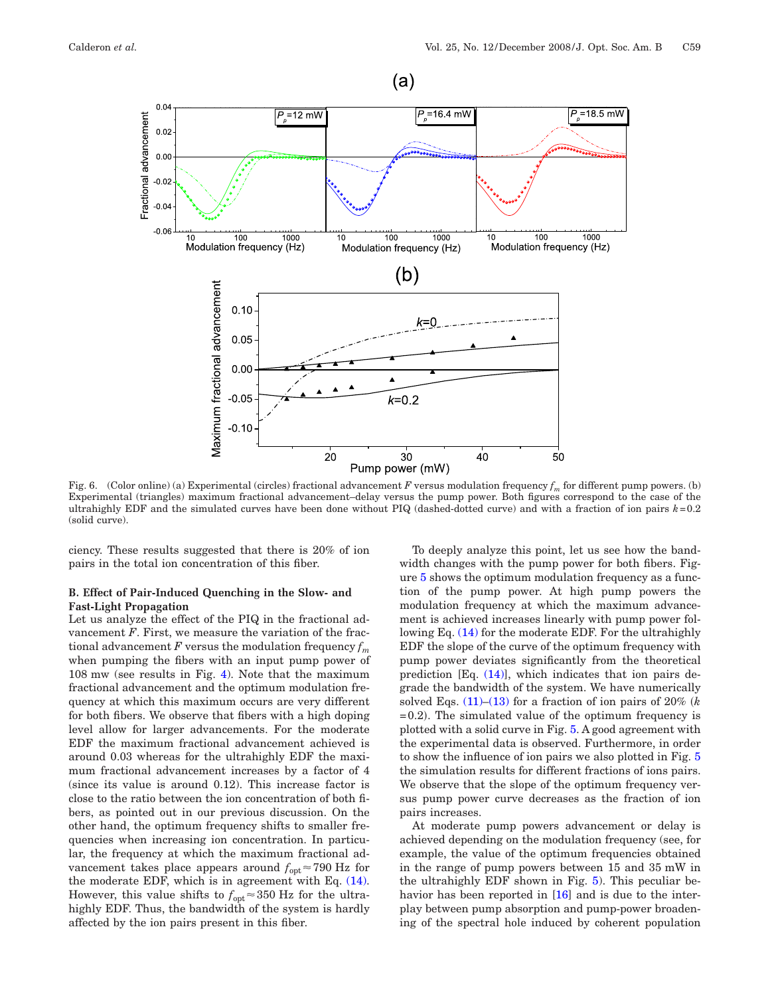<span id="page-4-0"></span>

Fig. 6. (Color online) (a) Experimental (circles) fractional advancement *F* versus modulation frequency *fm* for different pump powers. (b) Experimental (triangles) maximum fractional advancement–delay versus the pump power. Both figures correspond to the case of the ultrahighly EDF and the simulated curves have been done without PIQ (dashed-dotted curve) and with a fraction of ion pairs *k*=0.2 (solid curve).

ciency. These results suggested that there is 20% of ion pairs in the total ion concentration of this fiber.

#### **B. Effect of Pair-Induced Quenching in the Slow- and Fast-Light Propagation**

Let us analyze the effect of the PIQ in the fractional advancement *F*. First, we measure the variation of the fractional advancement  $F$  versus the modulation frequency  $f_m$ when pumping the fibers with an input pump power of 108 mw (see results in Fig. [4\)](#page-3-1). Note that the maximum fractional advancement and the optimum modulation frequency at which this maximum occurs are very different for both fibers. We observe that fibers with a high doping level allow for larger advancements. For the moderate EDF the maximum fractional advancement achieved is around 0.03 whereas for the ultrahighly EDF the maximum fractional advancement increases by a factor of 4 (since its value is around 0.12). This increase factor is close to the ratio between the ion concentration of both fibers, as pointed out in our previous discussion. On the other hand, the optimum frequency shifts to smaller frequencies when increasing ion concentration. In particular, the frequency at which the maximum fractional advancement takes place appears around  $f_{\text{opt}} \approx 790$  Hz for the moderate EDF, which is in agreement with Eq. [\(14\).](#page-3-2) However, this value shifts to  $f_{\text{opt}} \approx 350$  Hz for the ultrahighly EDF. Thus, the bandwidth of the system is hardly affected by the ion pairs present in this fiber.

To deeply analyze this point, let us see how the bandwidth changes with the pump power for both fibers. Figure [5](#page-3-3) shows the optimum modulation frequency as a function of the pump power. At high pump powers the modulation frequency at which the maximum advancement is achieved increases linearly with pump power following Eq. [\(14\)](#page-3-2) for the moderate EDF. For the ultrahighly EDF the slope of the curve of the optimum frequency with pump power deviates significantly from the theoretical prediction [Eq. [\(14\)\]](#page-3-2), which indicates that ion pairs degrade the bandwidth of the system. We have numerically solved Eqs.  $(11)$ – $(13)$  for a fraction of ion pairs of 20% (k  $=0.2$ ). The simulated value of the optimum frequency is plotted with a solid curve in Fig. [5.](#page-3-3) A good agreement with the experimental data is observed. Furthermore, in order to show the influence of ion pairs we also plotted in Fig. [5](#page-3-3) the simulation results for different fractions of ions pairs. We observe that the slope of the optimum frequency versus pump power curve decreases as the fraction of ion pairs increases.

At moderate pump powers advancement or delay is achieved depending on the modulation frequency (see, for example, the value of the optimum frequencies obtained in the range of pump powers between 15 and 35 mW in the ultrahighly EDF shown in Fig. [5\)](#page-3-3). This peculiar behavior has been reported in [\[16\]](#page-5-15) and is due to the interplay between pump absorption and pump-power broadening of the spectral hole induced by coherent population